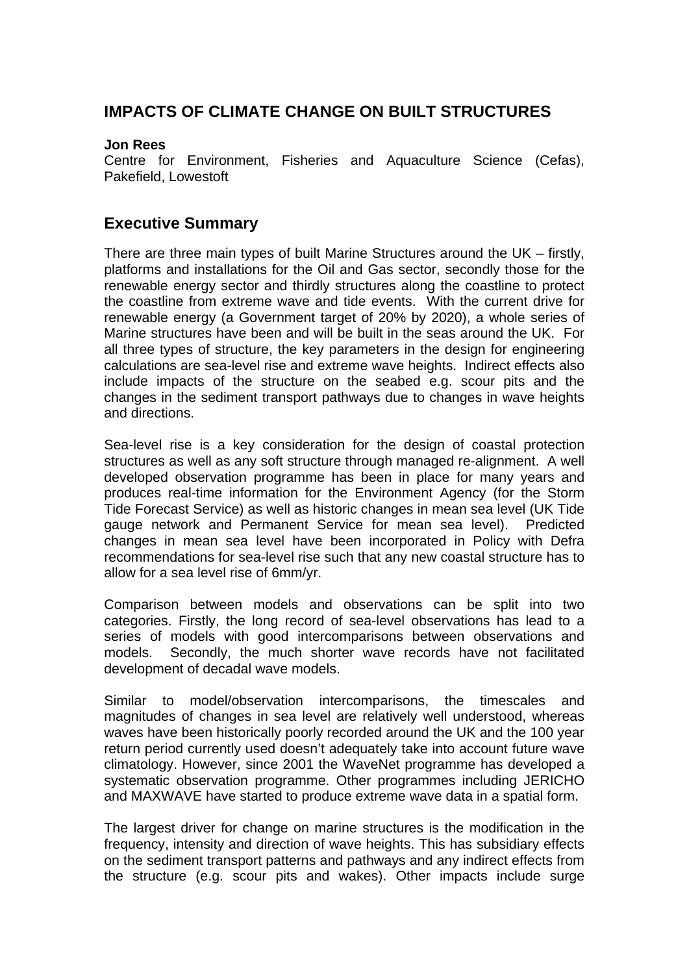## **IMPACTS OF CLIMATE CHANGE ON BUILT STRUCTURES**

#### **Jon Rees**

Centre for Environment, Fisheries and Aquaculture Science (Cefas), Pakefield, Lowestoft

### **Executive Summary**

There are three main types of built Marine Structures around the UK – firstly, platforms and installations for the Oil and Gas sector, secondly those for the renewable energy sector and thirdly structures along the coastline to protect the coastline from extreme wave and tide events. With the current drive for renewable energy (a Government target of 20% by 2020), a whole series of Marine structures have been and will be built in the seas around the UK. For all three types of structure, the key parameters in the design for engineering calculations are sea-level rise and extreme wave heights. Indirect effects also include impacts of the structure on the seabed e.g. scour pits and the changes in the sediment transport pathways due to changes in wave heights and directions.

Sea-level rise is a key consideration for the design of coastal protection structures as well as any soft structure through managed re-alignment. A well developed observation programme has been in place for many years and produces real-time information for the Environment Agency (for the Storm Tide Forecast Service) as well as historic changes in mean sea level (UK Tide gauge network and Permanent Service for mean sea level). Predicted changes in mean sea level have been incorporated in Policy with Defra recommendations for sea-level rise such that any new coastal structure has to allow for a sea level rise of 6mm/yr.

Comparison between models and observations can be split into two categories. Firstly, the long record of sea-level observations has lead to a series of models with good intercomparisons between observations and models. Secondly, the much shorter wave records have not facilitated development of decadal wave models.

Similar to model/observation intercomparisons, the timescales and magnitudes of changes in sea level are relatively well understood, whereas waves have been historically poorly recorded around the UK and the 100 year return period currently used doesn't adequately take into account future wave climatology. However, since 2001 the WaveNet programme has developed a systematic observation programme. Other programmes including JERICHO and MAXWAVE have started to produce extreme wave data in a spatial form.

The largest driver for change on marine structures is the modification in the frequency, intensity and direction of wave heights. This has subsidiary effects on the sediment transport patterns and pathways and any indirect effects from the structure (e.g. scour pits and wakes). Other impacts include surge